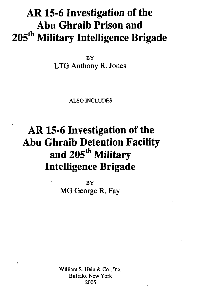## **AR 15-6 Investigation of the Abu Ghraib Prison and 205th Military Intelligence Brigade**

BY LTG Anthony R. Jones

ALSO INCLUDES

## **AR 15-6 Investigation of the Abu Ghraib Detention Facility and 205th Military Intelligence Brigade**

**BY** MG George R. Fay

William S. Hein & Co., Inc. Buffalo, New York 2005

 $\mathbf{r}$